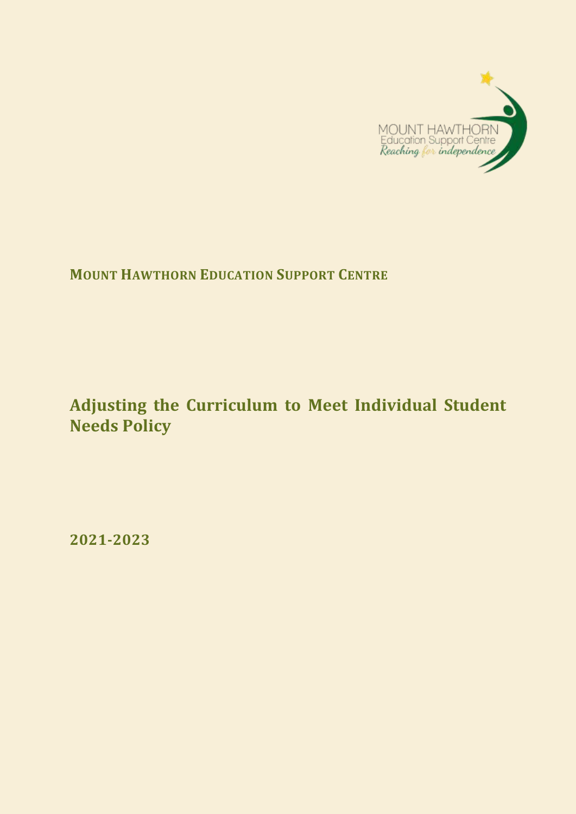

**MOUNT HAWTHORN EDUCATION SUPPORT CENTRE**

# **Adjusting the Curriculum to Meet Individual Student Needs Policy**

**2021-2023**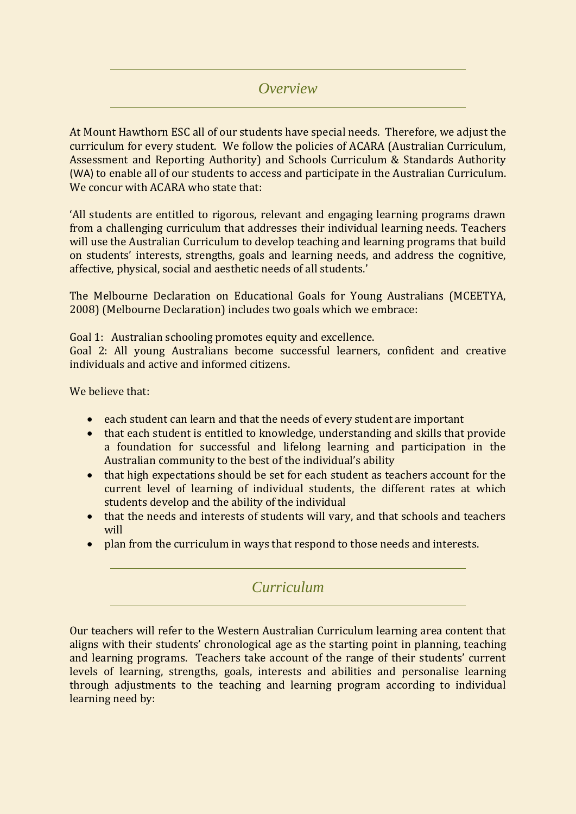#### *Overview*

At Mount Hawthorn ESC all of our students have special needs. Therefore, we adjust the curriculum for every student. We follow the policies of ACARA (Australian Curriculum, Assessment and Reporting Authority) and Schools Curriculum & Standards Authority (WA) to enable all of our students to access and participate in the Australian Curriculum. We concur with ACARA who state that:

'All students are entitled to rigorous, relevant and engaging learning programs drawn from a challenging curriculum that addresses their individual learning needs. Teachers will use the Australian Curriculum to develop teaching and learning programs that build on students' interests, strengths, goals and learning needs, and address the cognitive, affective, physical, social and aesthetic needs of all students.'

The Melbourne Declaration on Educational Goals for Young Australians (MCEETYA, 2008) (Melbourne Declaration) includes two goals which we embrace:

Goal 1: Australian schooling promotes equity and excellence.

Goal 2: All young Australians become successful learners, confident and creative individuals and active and informed citizens.

We believe that:

- each student can learn and that the needs of every student are important
- that each student is entitled to knowledge, understanding and skills that provide a foundation for successful and lifelong learning and participation in the Australian community to the best of the individual's ability
- that high expectations should be set for each student as teachers account for the current level of learning of individual students, the different rates at which students develop and the ability of the individual
- that the needs and interests of students will vary, and that schools and teachers will
- plan from the curriculum in ways that respond to those needs and interests.

### *Curriculum*

Our teachers will refer to the Western Australian Curriculum learning area content that aligns with their students' chronological age as the starting point in planning, teaching and learning programs. Teachers take account of the range of their students' current levels of learning, strengths, goals, interests and abilities and personalise learning through adjustments to the teaching and learning program according to individual learning need by: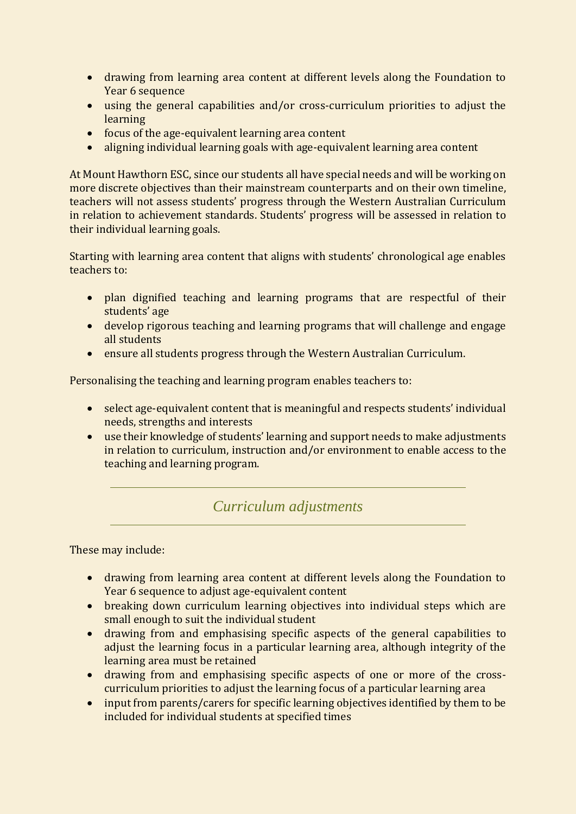- drawing from learning area content at different levels along the Foundation to Year 6 sequence
- using the general capabilities and/or cross-curriculum priorities to adjust the learning
- focus of the age-equivalent learning area content
- aligning individual learning goals with age-equivalent learning area content

At Mount Hawthorn ESC, since our students all have special needs and will be working on more discrete objectives than their mainstream counterparts and on their own timeline, teachers will not assess students' progress through the Western Australian Curriculum in relation to achievement standards. Students' progress will be assessed in relation to their individual learning goals.

Starting with learning area content that aligns with students' chronological age enables teachers to:

- plan dignified teaching and learning programs that are respectful of their students' age
- develop rigorous teaching and learning programs that will challenge and engage all students
- ensure all students progress through the Western Australian Curriculum.

Personalising the teaching and learning program enables teachers to:

- select age-equivalent content that is meaningful and respects students' individual needs, strengths and interests
- use their knowledge of students' learning and support needs to make adjustments in relation to curriculum, instruction and/or environment to enable access to the teaching and learning program.

#### *Curriculum adjustments*

These may include:

- drawing from learning area content at different levels along the Foundation to Year 6 sequence to adjust age-equivalent content
- breaking down curriculum learning objectives into individual steps which are small enough to suit the individual student
- drawing from and emphasising specific aspects of the general capabilities to adjust the learning focus in a particular learning area, although integrity of the learning area must be retained
- drawing from and emphasising specific aspects of one or more of the crosscurriculum priorities to adjust the learning focus of a particular learning area
- input from parents/carers for specific learning objectives identified by them to be included for individual students at specified times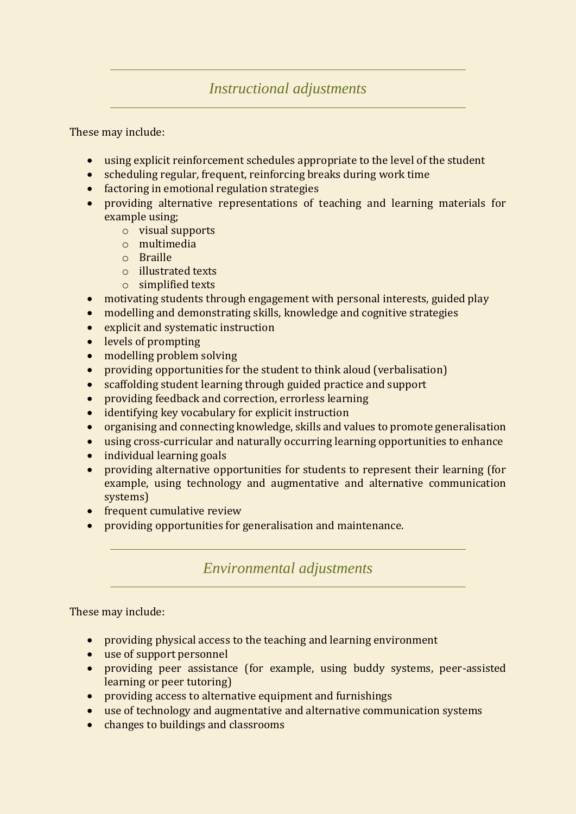## *Instructional adjustments*

These may include:

- using explicit reinforcement schedules appropriate to the level of the student
- scheduling regular, frequent, reinforcing breaks during work time
- factoring in emotional regulation strategies
- providing alternative representations of teaching and learning materials for example using;
	- o visual supports
	- o multimedia
	- o Braille
	- o illustrated texts
	- o simplified texts
- motivating students through engagement with personal interests, guided play
- modelling and demonstrating skills, knowledge and cognitive strategies
- explicit and systematic instruction
- levels of prompting
- modelling problem solving
- providing opportunities for the student to think aloud (verbalisation)
- scaffolding student learning through guided practice and support
- providing feedback and correction, errorless learning
- identifying key vocabulary for explicit instruction
- organising and connecting knowledge, skills and values to promote generalisation
- using cross-curricular and naturally occurring learning opportunities to enhance
- individual learning goals
- providing alternative opportunities for students to represent their learning (for example, using technology and augmentative and alternative communication systems)
- frequent cumulative review
- providing opportunities for generalisation and maintenance.

*Environmental adjustments*

These may include:

- providing physical access to the teaching and learning environment
- use of support personnel
- providing peer assistance (for example, using buddy systems, peer-assisted learning or peer tutoring)
- providing access to alternative equipment and furnishings
- use of technology and augmentative and alternative communication systems
- changes to buildings and classrooms